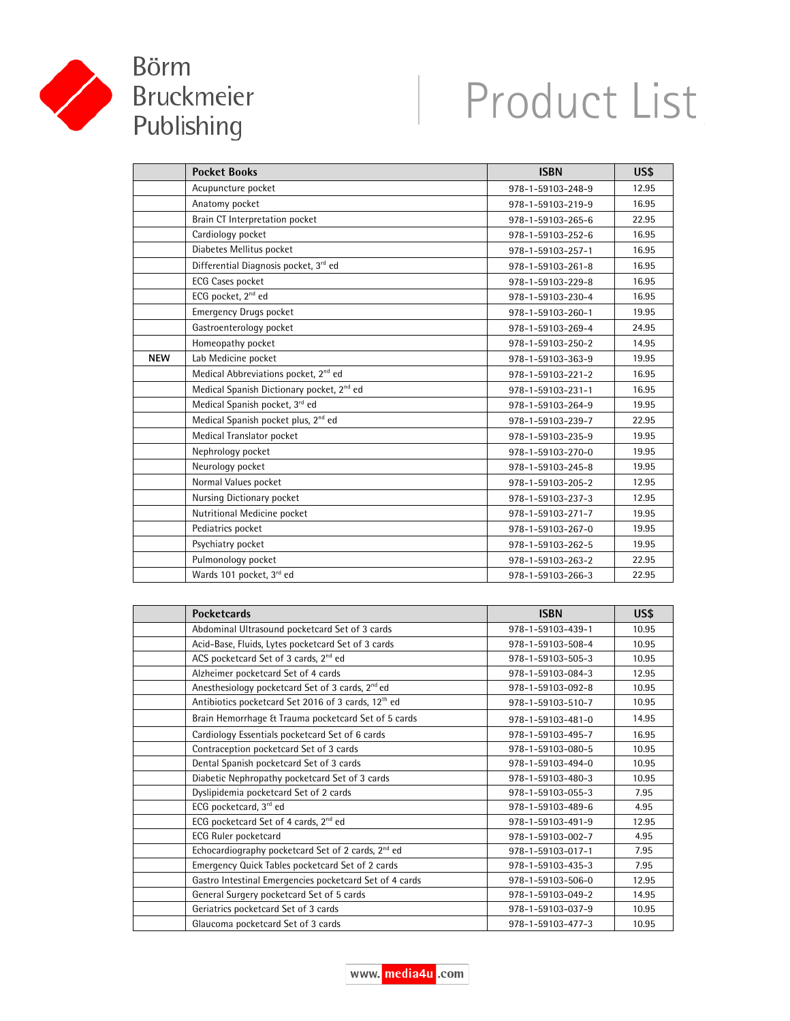

## Product List

|            | <b>Pocket Books</b>                                   | <b>ISBN</b>       | US\$  |
|------------|-------------------------------------------------------|-------------------|-------|
|            | Acupuncture pocket                                    | 978-1-59103-248-9 | 12.95 |
|            | Anatomy pocket                                        | 978-1-59103-219-9 | 16.95 |
|            | Brain CT Interpretation pocket                        | 978-1-59103-265-6 | 22.95 |
|            | Cardiology pocket                                     | 978-1-59103-252-6 | 16.95 |
|            | Diabetes Mellitus pocket                              | 978-1-59103-257-1 | 16.95 |
|            | Differential Diagnosis pocket, 3rd ed                 | 978-1-59103-261-8 | 16.95 |
|            | <b>ECG Cases pocket</b>                               | 978-1-59103-229-8 | 16.95 |
|            | ECG pocket, 2 <sup>nd</sup> ed                        | 978-1-59103-230-4 | 16.95 |
|            | <b>Emergency Drugs pocket</b>                         | 978-1-59103-260-1 | 19.95 |
|            | Gastroenterology pocket                               | 978-1-59103-269-4 | 24.95 |
|            | Homeopathy pocket                                     | 978-1-59103-250-2 | 14.95 |
| <b>NEW</b> | Lab Medicine pocket                                   | 978-1-59103-363-9 | 19.95 |
|            | Medical Abbreviations pocket, 2 <sup>nd</sup> ed      | 978-1-59103-221-2 | 16.95 |
|            | Medical Spanish Dictionary pocket, 2 <sup>nd</sup> ed | 978-1-59103-231-1 | 16.95 |
|            | Medical Spanish pocket, 3rd ed                        | 978-1-59103-264-9 | 19.95 |
|            | Medical Spanish pocket plus, 2 <sup>nd</sup> ed       | 978-1-59103-239-7 | 22.95 |
|            | Medical Translator pocket                             | 978-1-59103-235-9 | 19.95 |
|            | Nephrology pocket                                     | 978-1-59103-270-0 | 19.95 |
|            | Neurology pocket                                      | 978-1-59103-245-8 | 19.95 |
|            | Normal Values pocket                                  | 978-1-59103-205-2 | 12.95 |
|            | Nursing Dictionary pocket                             | 978-1-59103-237-3 | 12.95 |
|            | Nutritional Medicine pocket                           | 978-1-59103-271-7 | 19.95 |
|            | Pediatrics pocket                                     | 978-1-59103-267-0 | 19.95 |
|            | Psychiatry pocket                                     | 978-1-59103-262-5 | 19.95 |
|            | Pulmonology pocket                                    | 978-1-59103-263-2 | 22.95 |
|            | Wards 101 pocket, 3rd ed                              | 978-1-59103-266-3 | 22.95 |

| <b>Pocketcards</b>                                              | <b>ISBN</b>       | US\$  |
|-----------------------------------------------------------------|-------------------|-------|
| Abdominal Ultrasound pocketcard Set of 3 cards                  | 978-1-59103-439-1 | 10.95 |
| Acid-Base, Fluids, Lytes pocketcard Set of 3 cards              | 978-1-59103-508-4 | 10.95 |
| ACS pocketcard Set of 3 cards, 2 <sup>nd</sup> ed               | 978-1-59103-505-3 | 10.95 |
| Alzheimer pocketcard Set of 4 cards                             | 978-1-59103-084-3 | 12.95 |
| Anesthesiology pocketcard Set of 3 cards, 2 <sup>nd</sup> ed    | 978-1-59103-092-8 | 10.95 |
| Antibiotics pocketcard Set 2016 of 3 cards, 12 <sup>th</sup> ed | 978-1-59103-510-7 | 10.95 |
| Brain Hemorrhage & Trauma pocketcard Set of 5 cards             | 978-1-59103-481-0 | 14.95 |
| Cardiology Essentials pocketcard Set of 6 cards                 | 978-1-59103-495-7 | 16.95 |
| Contraception pocketcard Set of 3 cards                         | 978-1-59103-080-5 | 10.95 |
| Dental Spanish pocketcard Set of 3 cards                        | 978-1-59103-494-0 | 10.95 |
| Diabetic Nephropathy pocketcard Set of 3 cards                  | 978-1-59103-480-3 | 10.95 |
| Dyslipidemia pocketcard Set of 2 cards                          | 978-1-59103-055-3 | 7.95  |
| ECG pocketcard, 3 <sup>rd</sup> ed                              | 978-1-59103-489-6 | 4.95  |
| ECG pocketcard Set of 4 cards, 2 <sup>nd</sup> ed               | 978-1-59103-491-9 | 12.95 |
| <b>ECG Ruler pocketcard</b>                                     | 978-1-59103-002-7 | 4.95  |
| Echocardiography pocketcard Set of 2 cards, 2 <sup>nd</sup> ed  | 978-1-59103-017-1 | 7.95  |
| Emergency Quick Tables pocketcard Set of 2 cards                | 978-1-59103-435-3 | 7.95  |
| Gastro Intestinal Emergencies pocketcard Set of 4 cards         | 978-1-59103-506-0 | 12.95 |
| General Surgery pocketcard Set of 5 cards                       | 978-1-59103-049-2 | 14.95 |
| Geriatrics pocketcard Set of 3 cards                            | 978-1-59103-037-9 | 10.95 |
| Glaucoma pocketcard Set of 3 cards                              | 978-1-59103-477-3 | 10.95 |

www. media4u .com